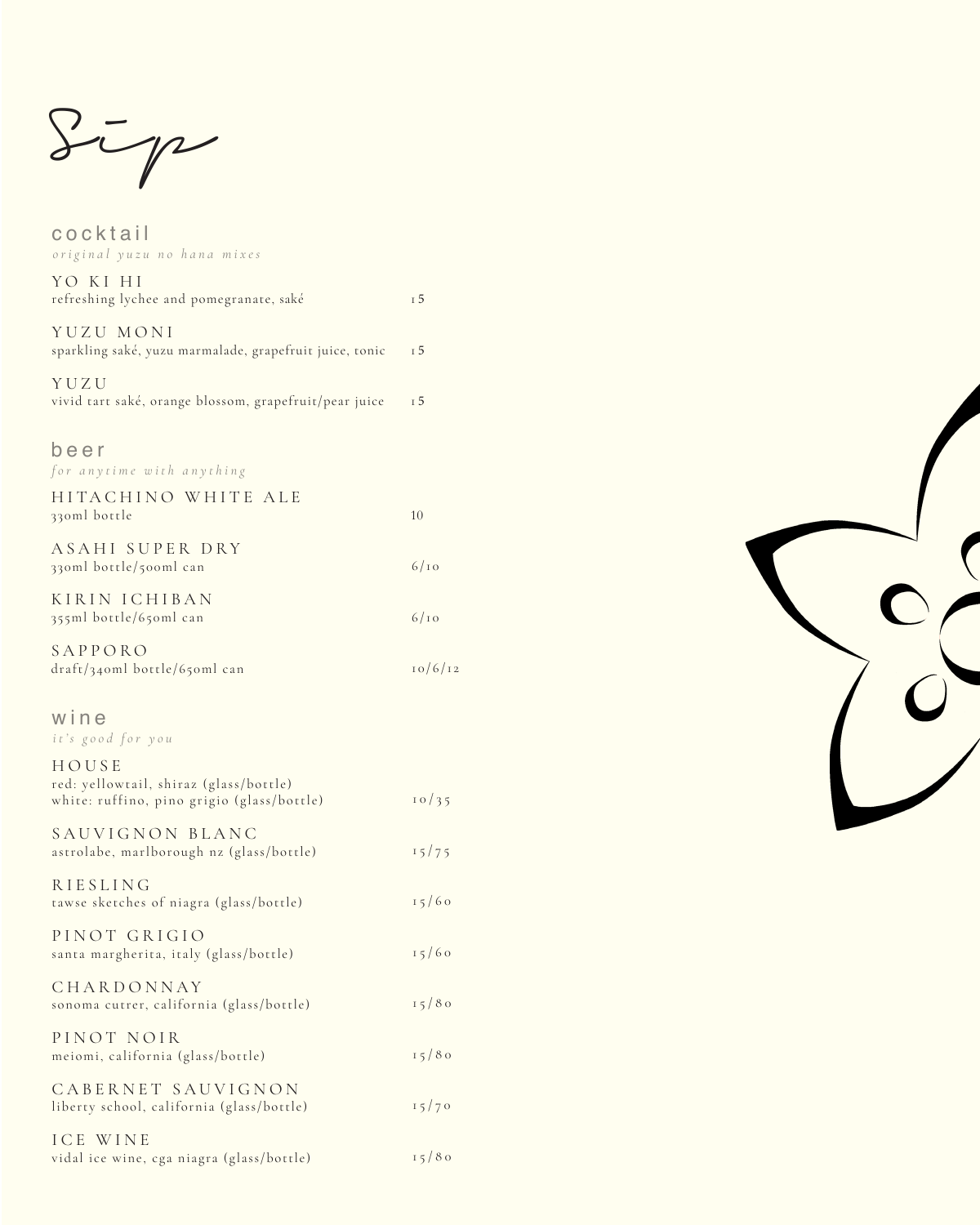Sip

cocktail *original yuzu no hana mixes*

| YO KI HI<br>refreshing lychee and pomegranate, saké                  | T.5 |
|----------------------------------------------------------------------|-----|
| YUZU MONI<br>sparkling saké, yuzu marmalade, grapefruit juice, tonic | I 5 |
| YUZU<br>vivid tart saké, orange blossom, grapefruit/pear juice       | T 5 |

|  |  | vivid tart saké, orange blossom, grapefruit/pear juice |  |  |
|--|--|--------------------------------------------------------|--|--|
|  |  |                                                        |  |  |

## beer

*for anytime with anything*

| HITACHINO WHITE ALE<br>330ml bottle                                                                    | 10             |
|--------------------------------------------------------------------------------------------------------|----------------|
| ASAHI SUPER DRY<br>330ml bottle/500ml can                                                              | 6/10           |
| KIRIN ICHIBAN<br>355ml bottle/650ml can                                                                | 6/10           |
| SAPPORO<br>draft/340ml bottle/650ml can                                                                | 10/6/12        |
| wine<br>it's good for you<br>HOUSE<br>red: yellowtail, shiraz (glass/bottle)                           |                |
| white: ruffino, pino grigio (glass/bottle)<br>SAUVIGNON BLANC                                          | 10/35          |
| astrolabe, marlborough nz (glass/bottle)<br><b>RIESLING</b><br>tawse sketches of niagra (glass/bottle) | 15/75<br>15/60 |
| PINOT GRIGIO<br>santa margherita, italy (glass/bottle)                                                 | 15/60          |
| CHARDONNAY<br>sonoma cutrer, california (glass/bottle)                                                 | 15/80          |
| PINOT NOIR<br>meiomi, california (glass/bottle)                                                        | 15/80          |
| CABERNET SAUVIGNON<br>liberty school, california (glass/bottle)                                        | 15/70          |
| ICE WINE<br>vidal ice wine, cga niagra (glass/bottle)                                                  | 15/80          |